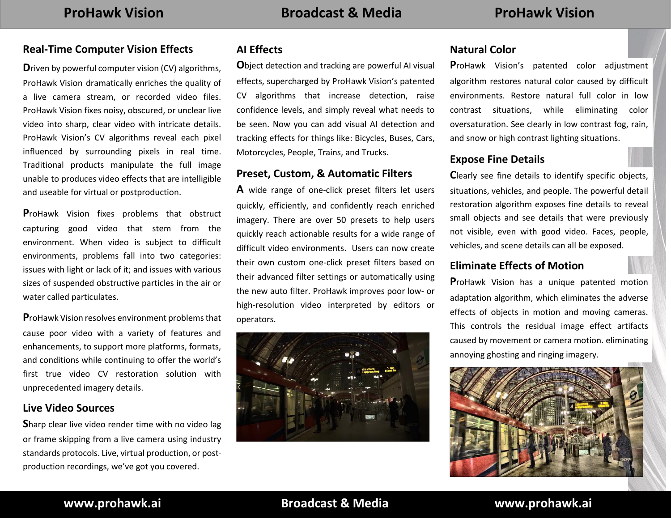#### **Real-Time Computer Vision Effects**

**D**riven by powerful computer vision (CV) algorithms, ProHawk Vision dramatically enriches the quality of a live camera stream, or recorded video files. ProHawk Vision fixes noisy, obscured, or unclear live video into sharp, clear video with intricate details. ProHawk Vision's CV algorithms reveal each pixel influenced by surrounding pixels in real time. Traditional products manipulate the full image unable to produces video effects that are intelligible and useable for virtual or postproduction.

**P**roHawk Vision fixes problems that obstruct capturing good video that stem from the environment. When video is subject to difficult environments, problems fall into two categories: issues with light or lack of it; and issues with various sizes of suspended obstructive particles in the air or water called particulates.

**P**roHawk Vision resolves environment problems that cause poor video with a variety of features and enhancements, to support more platforms, formats, and conditions while continuing to offer the world's first true video CV restoration solution with unprecedented imagery details.

#### **Live Video Sources**

**S**harp clear live video render time with no video lag or frame skipping from a live camera using industry standards protocols. Live, virtual production, or postproduction recordings, we've got you covered.

### **AI Effects**

**O**bject detection and tracking are powerful AI visual effects, supercharged by ProHawk Vision's patented CV algorithms that increase detection, raise confidence levels, and simply reveal what needs to be seen. Now you can add visual AI detection and tracking effects for things like: Bicycles, Buses, Cars, Motorcycles, People, Trains, and Trucks.

#### **Preset, Custom, & Automatic Filters**

**A** wide range of one-click preset filters let users quickly, efficiently, and confidently reach enriched imagery. There are over 50 presets to help users quickly reach actionable results for a wide range of difficult video environments. Users can now create their own custom one-click preset filters based on their advanced filter settings or automatically using the new auto filter. ProHawk improves poor low- or high-resolution video interpreted by editors or operators.



#### **Natural Color**

**P**roHawk Vision's patented color adjustment algorithm restores natural color caused by difficult environments. Restore natural full color in low contrast situations, while eliminating color oversaturation. See clearly in low contrast fog, rain, and snow or high contrast lighting situations.

#### **Expose Fine Details**

**C**learly see fine details to identify specific objects, situations, vehicles, and people. The powerful detail restoration algorithm exposes fine details to reveal small objects and see details that were previously not visible, even with good video. Faces, people, vehicles, and scene details can all be exposed.

#### **Eliminate Effects of Motion**

**P**roHawk Vision has a unique patented motion adaptation algorithm, which eliminates the adverse effects of objects in motion and moving cameras. This controls the residual image effect artifacts caused by movement or camera motion. eliminating annoying ghosting and ringing imagery.



### **www.prohawk.ai Broadcast & Media www.prohawk.ai**